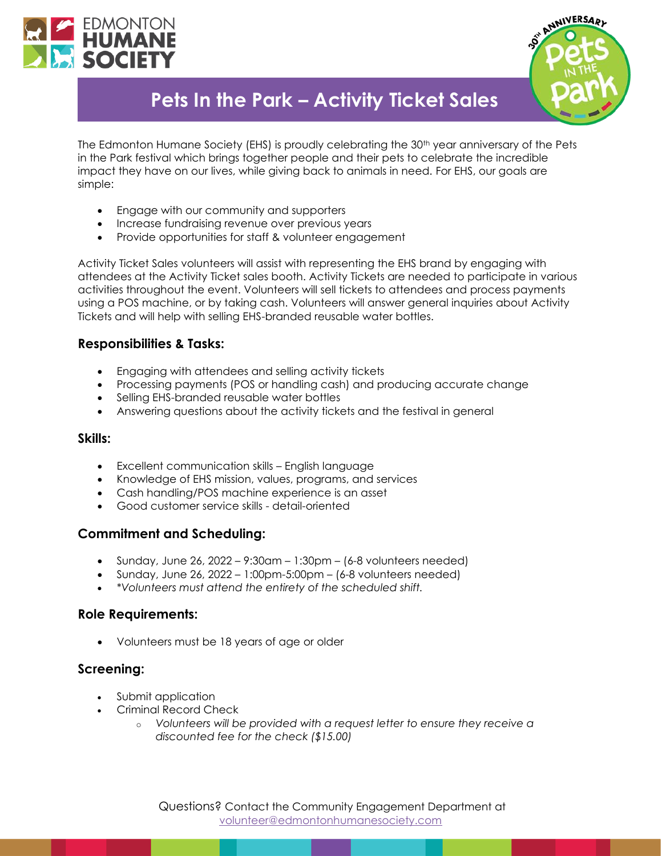



# **Pets In the Park – Activity Ticket Sales**

The Edmonton Humane Society (EHS) is proudly celebrating the 30<sup>th</sup> year anniversary of the Pets in the Park festival which brings together people and their pets to celebrate the incredible impact they have on our lives, while giving back to animals in need. For EHS, our goals are simple:

- Engage with our community and supporters
- Increase fundraising revenue over previous years
- Provide opportunities for staff & volunteer engagement

Activity Ticket Sales volunteers will assist with representing the EHS brand by engaging with attendees at the Activity Ticket sales booth. Activity Tickets are needed to participate in various activities throughout the event. Volunteers will sell tickets to attendees and process payments using a POS machine, or by taking cash. Volunteers will answer general inquiries about Activity Tickets and will help with selling EHS-branded reusable water bottles.

# **Responsibilities & Tasks:**

- Engaging with attendees and selling activity tickets
- Processing payments (POS or handling cash) and producing accurate change
- Selling EHS-branded reusable water bottles
- Answering questions about the activity tickets and the festival in general

#### **Skills:**

- Excellent communication skills English language
- Knowledge of EHS mission, values, programs, and services
- Cash handling/POS machine experience is an asset
- Good customer service skills detail-oriented

# **Commitment and Scheduling:**

- Sunday, June 26, 2022  $9:30$ am  $1:30$ pm  $(6-8$  volunteers needed)
- Sunday, June 26, 2022 1:00pm-5:00pm (6-8 volunteers needed)
- *\*Volunteers must attend the entirety of the scheduled shift.*

#### **Role Requirements:**

• Volunteers must be 18 years of age or older

# **Screening:**

- Submit application
- Criminal Record Check
	- o *Volunteers will be provided with a request letter to ensure they receive a discounted fee for the check (\$15.00)*

Questions? Contact the Community Engagement Department at [volunteer@edmontonhumanesociety.com](mailto:volunteer@edmontonhumanesociety.com)